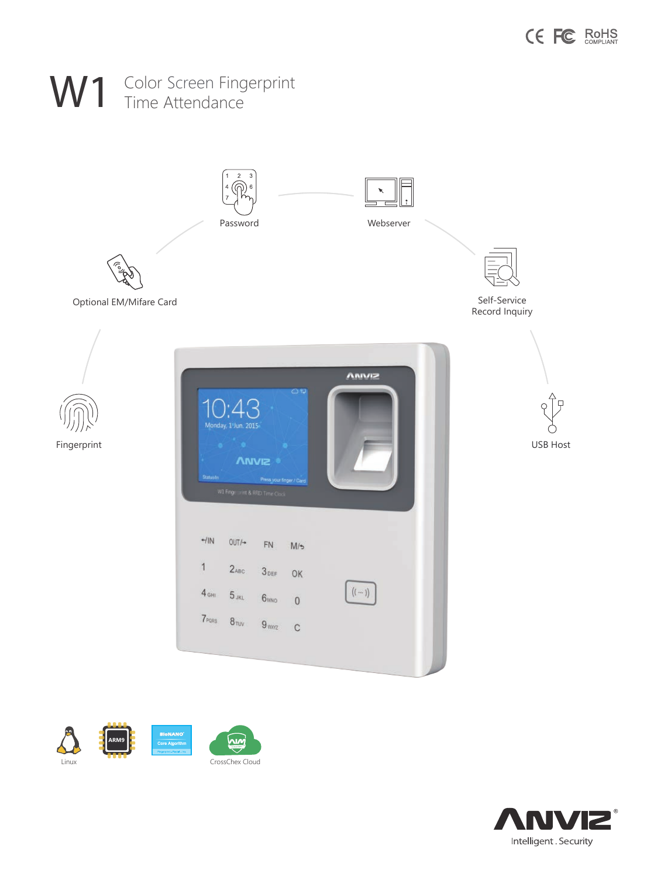